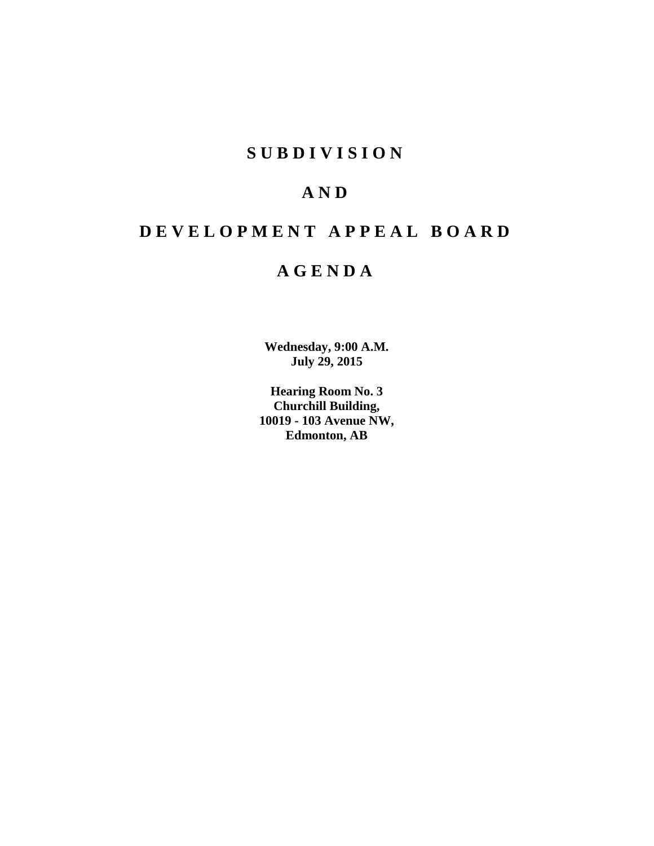# **S U B D I V I S I O N**

# **A N D**

# **D E V E L O P M E N T A P P E A L B O A R D**

# **A G E N D A**

**Wednesday, 9:00 A.M. July 29, 2015**

**Hearing Room No. 3 Churchill Building, 10019 - 103 Avenue NW, Edmonton, AB**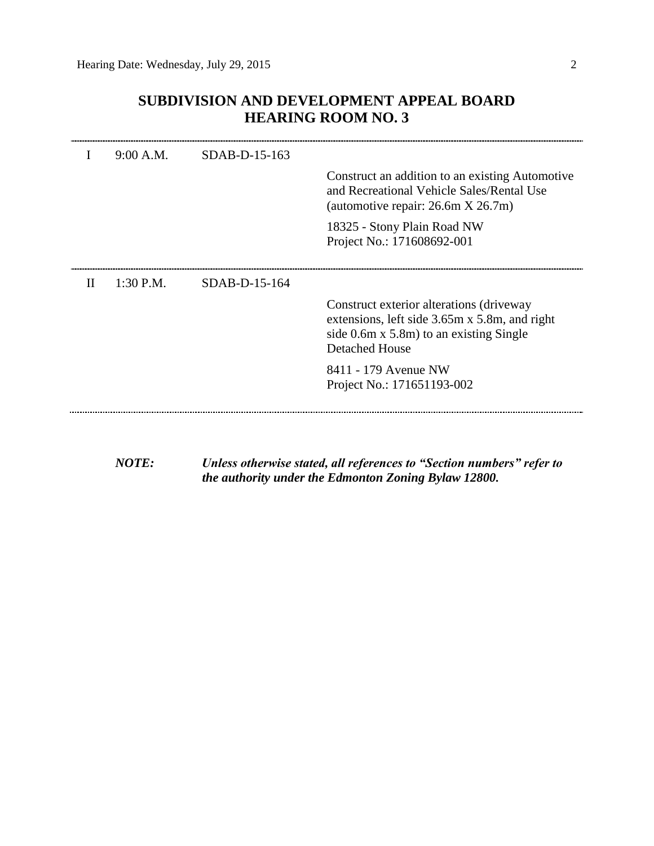# **SUBDIVISION AND DEVELOPMENT APPEAL BOARD HEARING ROOM NO. 3**

|   | 9:00 A.M.   | $SDAB-D-15-163$ |                                                                                                                                                                     |
|---|-------------|-----------------|---------------------------------------------------------------------------------------------------------------------------------------------------------------------|
|   |             |                 | Construct an addition to an existing Automotive<br>and Recreational Vehicle Sales/Rental Use<br>(automotive repair: 26.6m X 26.7m)                                  |
|   |             |                 | 18325 - Stony Plain Road NW<br>Project No.: 171608692-001                                                                                                           |
| H | $1:30$ P.M. | $SDAB-D-15-164$ |                                                                                                                                                                     |
|   |             |                 | Construct exterior alterations (driveway<br>extensions, left side 3.65m x 5.8m, and right<br>side $0.6m \times 5.8m$ to an existing Single<br><b>Detached House</b> |
|   |             |                 | 8411 - 179 Avenue NW<br>Project No.: 171651193-002                                                                                                                  |
|   |             |                 |                                                                                                                                                                     |

*NOTE: Unless otherwise stated, all references to "Section numbers" refer to the authority under the Edmonton Zoning Bylaw 12800.*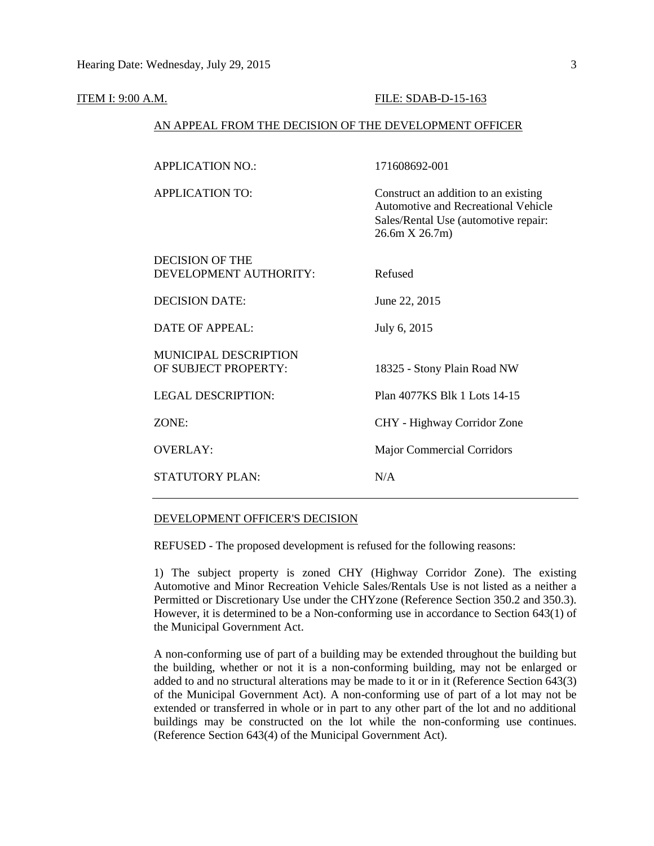#### **ITEM I: 9:00 A.M. FILE: SDAB-D-15-163**

# AN APPEAL FROM THE DECISION OF THE DEVELOPMENT OFFICER

| <b>APPLICATION NO.:</b>      | 171608692-001                                                                                                                                |
|------------------------------|----------------------------------------------------------------------------------------------------------------------------------------------|
| <b>APPLICATION TO:</b>       | Construct an addition to an existing<br><b>Automotive and Recreational Vehicle</b><br>Sales/Rental Use (automotive repair:<br>26.6m X 26.7m) |
| DECISION OF THE              |                                                                                                                                              |
| DEVELOPMENT AUTHORITY:       | Refused                                                                                                                                      |
| <b>DECISION DATE:</b>        | June 22, 2015                                                                                                                                |
| <b>DATE OF APPEAL:</b>       | July 6, 2015                                                                                                                                 |
| <b>MUNICIPAL DESCRIPTION</b> |                                                                                                                                              |
| OF SUBJECT PROPERTY:         | 18325 - Stony Plain Road NW                                                                                                                  |
| <b>LEGAL DESCRIPTION:</b>    | Plan 4077KS Blk 1 Lots 14-15                                                                                                                 |
| ZONE:                        | CHY - Highway Corridor Zone                                                                                                                  |
| <b>OVERLAY:</b>              | <b>Major Commercial Corridors</b>                                                                                                            |
| <b>STATUTORY PLAN:</b>       | N/A                                                                                                                                          |

#### DEVELOPMENT OFFICER'S DECISION

REFUSED - The proposed development is refused for the following reasons:

1) The subject property is zoned CHY (Highway Corridor Zone). The existing Automotive and Minor Recreation Vehicle Sales/Rentals Use is not listed as a neither a Permitted or Discretionary Use under the CHYzone (Reference Section 350.2 and 350.3). However, it is determined to be a Non-conforming use in accordance to Section 643(1) of the Municipal Government Act.

A non-conforming use of part of a building may be extended throughout the building but the building, whether or not it is a non-conforming building, may not be enlarged or added to and no structural alterations may be made to it or in it (Reference Section 643(3) of the Municipal Government Act). A non-conforming use of part of a lot may not be extended or transferred in whole or in part to any other part of the lot and no additional buildings may be constructed on the lot while the non-conforming use continues. (Reference Section 643(4) of the Municipal Government Act).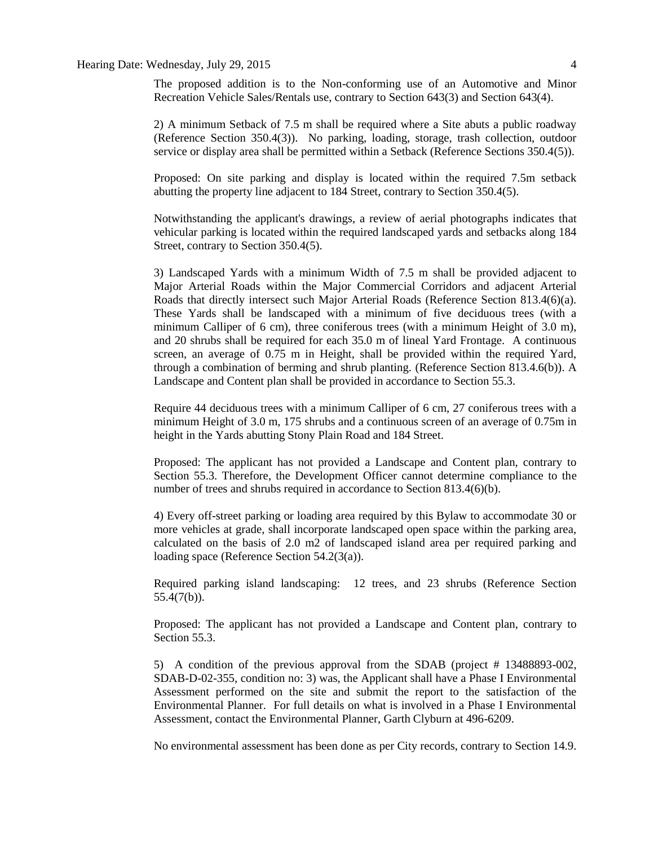#### Hearing Date: Wednesday, July 29, 2015 4

The proposed addition is to the Non-conforming use of an Automotive and Minor Recreation Vehicle Sales/Rentals use, contrary to Section 643(3) and Section 643(4).

2) A minimum Setback of 7.5 m shall be required where a Site abuts a public roadway (Reference Section 350.4(3)). No parking, loading, storage, trash collection, outdoor service or display area shall be permitted within a Setback (Reference Sections 350.4(5)).

Proposed: On site parking and display is located within the required 7.5m setback abutting the property line adjacent to 184 Street, contrary to Section 350.4(5).

Notwithstanding the applicant's drawings, a review of aerial photographs indicates that vehicular parking is located within the required landscaped yards and setbacks along 184 Street, contrary to Section 350.4(5).

3) Landscaped Yards with a minimum Width of 7.5 m shall be provided adjacent to Major Arterial Roads within the Major Commercial Corridors and adjacent Arterial Roads that directly intersect such Major Arterial Roads (Reference Section 813.4(6)(a). These Yards shall be landscaped with a minimum of five deciduous trees (with a minimum Calliper of 6 cm), three coniferous trees (with a minimum Height of 3.0 m), and 20 shrubs shall be required for each 35.0 m of lineal Yard Frontage. A continuous screen, an average of 0.75 m in Height, shall be provided within the required Yard, through a combination of berming and shrub planting. (Reference Section 813.4.6(b)). A Landscape and Content plan shall be provided in accordance to Section 55.3.

Require 44 deciduous trees with a minimum Calliper of 6 cm, 27 coniferous trees with a minimum Height of 3.0 m, 175 shrubs and a continuous screen of an average of 0.75m in height in the Yards abutting Stony Plain Road and 184 Street.

Proposed: The applicant has not provided a Landscape and Content plan, contrary to Section 55.3. Therefore, the Development Officer cannot determine compliance to the number of trees and shrubs required in accordance to Section 813.4(6)(b).

4) Every off-street parking or loading area required by this Bylaw to accommodate 30 or more vehicles at grade, shall incorporate landscaped open space within the parking area, calculated on the basis of 2.0 m2 of landscaped island area per required parking and loading space (Reference Section 54.2(3(a)).

Required parking island landscaping: 12 trees, and 23 shrubs (Reference Section 55.4(7(b)).

Proposed: The applicant has not provided a Landscape and Content plan, contrary to Section 55.3.

5) A condition of the previous approval from the SDAB (project # 13488893-002, SDAB-D-02-355, condition no: 3) was, the Applicant shall have a Phase I Environmental Assessment performed on the site and submit the report to the satisfaction of the Environmental Planner. For full details on what is involved in a Phase I Environmental Assessment, contact the Environmental Planner, Garth Clyburn at 496-6209.

No environmental assessment has been done as per City records, contrary to Section 14.9.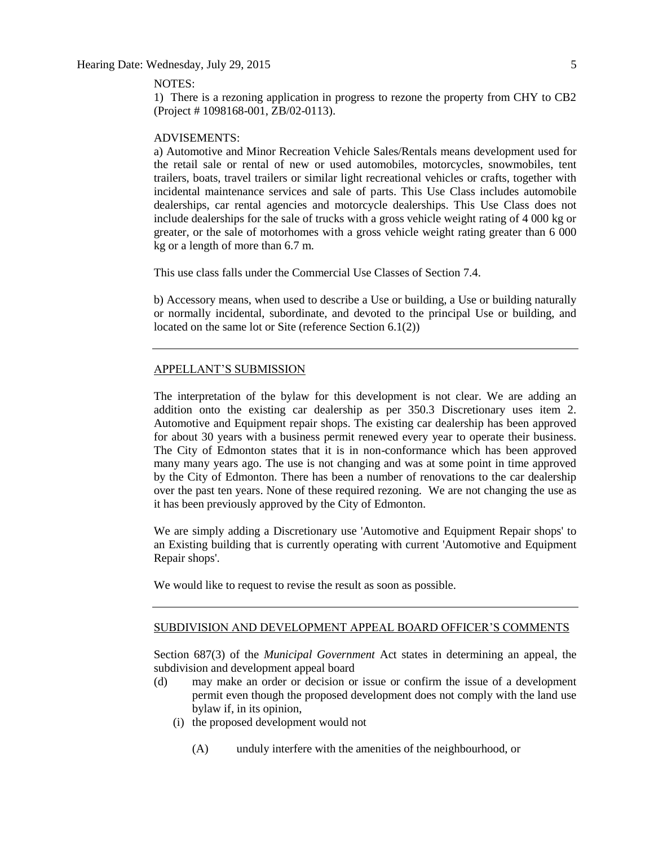#### NOTES:

1) There is a rezoning application in progress to rezone the property from CHY to CB2 (Project # 1098168-001, ZB/02-0113).

#### ADVISEMENTS:

a) Automotive and Minor Recreation Vehicle Sales/Rentals means development used for the retail sale or rental of new or used automobiles, motorcycles, snowmobiles, tent trailers, boats, travel trailers or similar light recreational vehicles or crafts, together with incidental maintenance services and sale of parts. This Use Class includes automobile dealerships, car rental agencies and motorcycle dealerships. This Use Class does not include dealerships for the sale of trucks with a gross vehicle weight rating of 4 000 kg or greater, or the sale of motorhomes with a gross vehicle weight rating greater than 6 000 kg or a length of more than 6.7 m.

This use class falls under the Commercial Use Classes of Section 7.4.

b) Accessory means, when used to describe a Use or building, a Use or building naturally or normally incidental, subordinate, and devoted to the principal Use or building, and located on the same lot or Site (reference Section 6.1(2))

## APPELLANT'S SUBMISSION

The interpretation of the bylaw for this development is not clear. We are adding an addition onto the existing car dealership as per 350.3 Discretionary uses item 2. Automotive and Equipment repair shops. The existing car dealership has been approved for about 30 years with a business permit renewed every year to operate their business. The City of Edmonton states that it is in non-conformance which has been approved many many years ago. The use is not changing and was at some point in time approved by the City of Edmonton. There has been a number of renovations to the car dealership over the past ten years. None of these required rezoning. We are not changing the use as it has been previously approved by the City of Edmonton.

We are simply adding a Discretionary use 'Automotive and Equipment Repair shops' to an Existing building that is currently operating with current 'Automotive and Equipment Repair shops'.

We would like to request to revise the result as soon as possible.

# SUBDIVISION AND DEVELOPMENT APPEAL BOARD OFFICER'S COMMENTS

Section 687(3) of the *Municipal Government* Act states in determining an appeal, the subdivision and development appeal board

- (d) may make an order or decision or issue or confirm the issue of a development permit even though the proposed development does not comply with the land use bylaw if, in its opinion,
	- (i) the proposed development would not
		- (A) unduly interfere with the amenities of the neighbourhood, or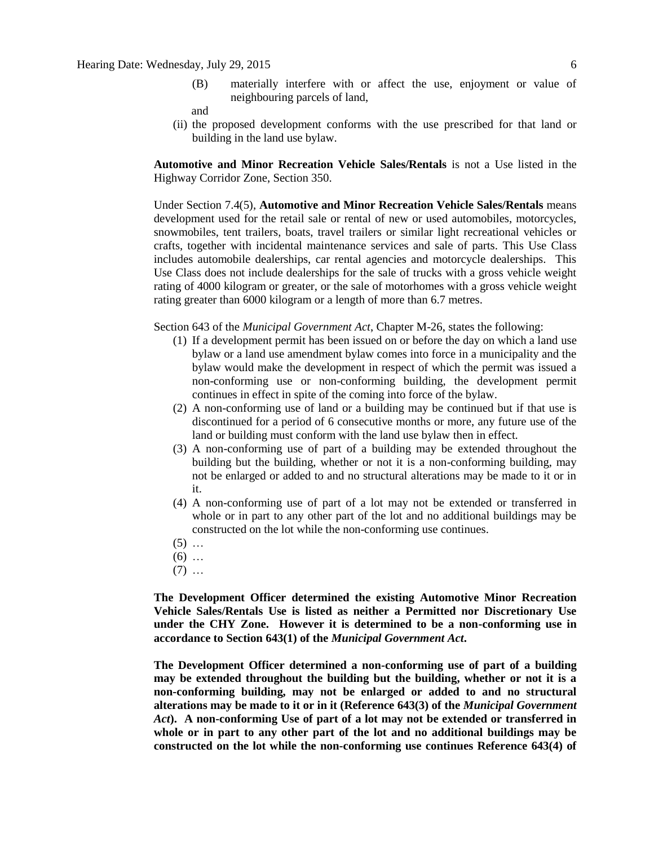(B) materially interfere with or affect the use, enjoyment or value of neighbouring parcels of land,

and

(ii) the proposed development conforms with the use prescribed for that land or building in the land use bylaw.

**Automotive and Minor Recreation Vehicle Sales/Rentals** is not a Use listed in the Highway Corridor Zone, Section 350.

Under Section 7.4(5), **Automotive and Minor Recreation Vehicle Sales/Rentals** means development used for the retail sale or rental of new or used automobiles, motorcycles, snowmobiles, tent trailers, boats, travel trailers or similar light recreational vehicles or crafts, together with incidental maintenance services and sale of parts. This Use Class includes automobile dealerships, car rental agencies and motorcycle dealerships. This Use Class does not include dealerships for the sale of trucks with a gross vehicle weight rating of 4000 kilogram or greater, or the sale of motorhomes with a gross vehicle weight rating greater than 6000 kilogram or a length of more than 6.7 metres.

Section 643 of the *Municipal Government Act*, Chapter M-26, states the following:

- (1) If a development permit has been issued on or before the day on which a land use bylaw or a land use amendment bylaw comes into force in a municipality and the bylaw would make the development in respect of which the permit was issued a non-conforming use or non-conforming building, the development permit continues in effect in spite of the coming into force of the bylaw.
- (2) A non-conforming use of land or a building may be continued but if that use is discontinued for a period of 6 consecutive months or more, any future use of the land or building must conform with the land use bylaw then in effect.
- (3) A non-conforming use of part of a building may be extended throughout the building but the building, whether or not it is a non-conforming building, may not be enlarged or added to and no structural alterations may be made to it or in it.
- (4) A non-conforming use of part of a lot may not be extended or transferred in whole or in part to any other part of the lot and no additional buildings may be constructed on the lot while the non-conforming use continues.
- $(5)$  ...
- $(6)$  ...
- $(7)$  ...

**The Development Officer determined the existing Automotive Minor Recreation Vehicle Sales/Rentals Use is listed as neither a Permitted nor Discretionary Use under the CHY Zone. However it is determined to be a non-conforming use in accordance to Section 643(1) of the** *Municipal Government Act***.** 

**The Development Officer determined a non-conforming use of part of a building may be extended throughout the building but the building, whether or not it is a non-conforming building, may not be enlarged or added to and no structural alterations may be made to it or in it (Reference 643(3) of the** *Municipal Government Act***). A non-conforming Use of part of a lot may not be extended or transferred in whole or in part to any other part of the lot and no additional buildings may be constructed on the lot while the non-conforming use continues Reference 643(4) of**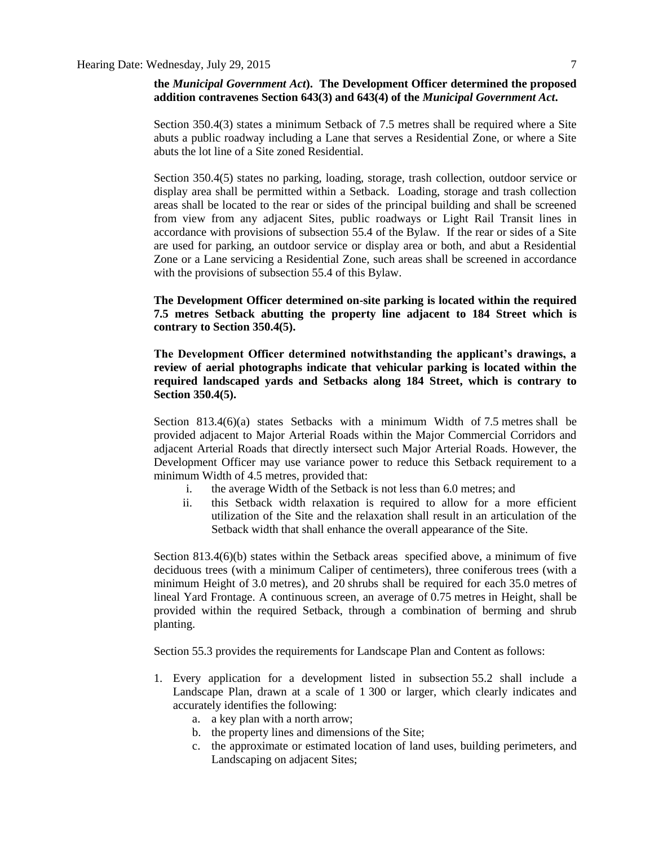## **the** *Municipal Government Act***). The Development Officer determined the proposed addition contravenes Section 643(3) and 643(4) of the** *Municipal Government Act***.**

Section 350.4(3) states a minimum Setback of 7.5 metres shall be required where a Site abuts a public roadway including a Lane that serves a Residential Zone, or where a Site abuts the lot line of a Site zoned Residential.

Section 350.4(5) states no parking, loading, storage, trash collection, outdoor service or display area shall be permitted within a Setback. Loading, storage and trash collection areas shall be located to the rear or sides of the principal building and shall be screened from view from any adjacent Sites, public roadways or Light Rail Transit lines in accordance with provisions of subsection 55.4 of the Bylaw. If the rear or sides of a Site are used for parking, an outdoor service or display area or both, and abut a Residential Zone or a Lane servicing a Residential Zone, such areas shall be screened in accordance with the provisions of subsection 55.4 of this Bylaw.

**The Development Officer determined on-site parking is located within the required 7.5 metres Setback abutting the property line adjacent to 184 Street which is contrary to Section 350.4(5).** 

**The Development Officer determined notwithstanding the applicant's drawings, a review of aerial photographs indicate that vehicular parking is located within the required landscaped yards and Setbacks along 184 Street, which is contrary to Section 350.4(5).**

Section 813.4(6)(a) states Setbacks with a minimum Width of [7.5](javascript:void(0);) metres shall be provided adjacent to Major Arterial Roads within the Major Commercial Corridors and adjacent Arterial Roads that directly intersect such Major Arterial Roads. However, the Development Officer may use variance power to reduce this Setback requirement to a minimum Width of [4.5](javascript:void(0);) metres, provided that:

- i. the average Width of the Setback is not less than [6.0](javascript:void(0);) metres; and
- ii. this Setback width relaxation is required to allow for a more efficient utilization of the Site and the relaxation shall result in an articulation of the Setback width that shall enhance the overall appearance of the Site.

Section 813.4(6)(b) states within the Setback areas specified above, a minimum of five deciduous trees (with a minimum Caliper of centimeters), three coniferous trees (with a minimum Height of [3.0](javascript:void(0);) metres), and 20 shrubs shall be required for each [35.0](javascript:void(0);) metres of lineal Yard Frontage. A continuous screen, an average of [0.75](javascript:void(0);) metres in Height, shall be provided within the required Setback, through a combination of berming and shrub planting.

Section 55.3 provides the requirements for Landscape Plan and Content as follows:

- 1. Every application for a development listed in subsection 55.2 shall include a Landscape Plan, drawn at a scale of 1 300 or larger, which clearly indicates and accurately identifies the following:
	- a. a key plan with a north arrow;
	- b. the property lines and dimensions of the Site;
	- c. the approximate or estimated location of land uses, building perimeters, and Landscaping on adjacent Sites;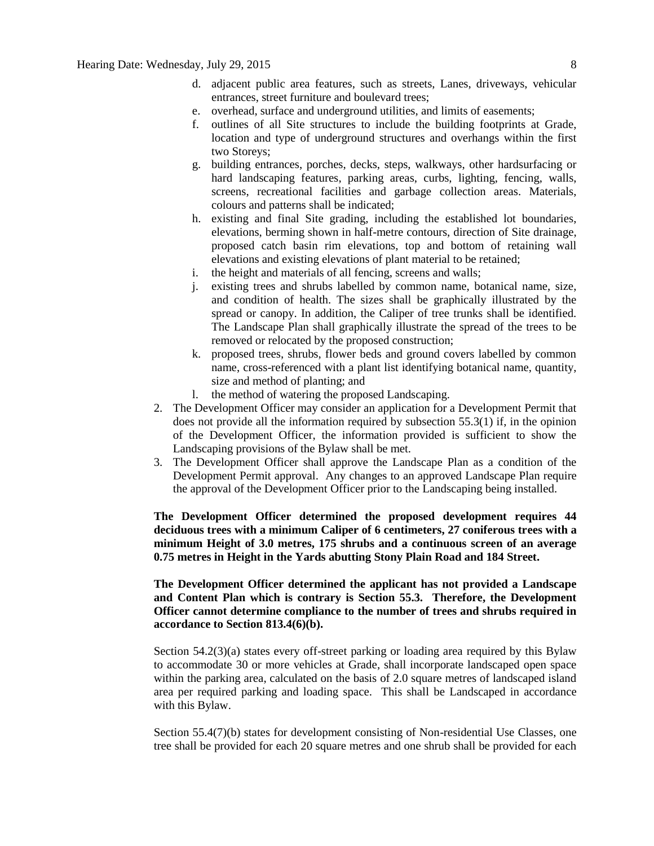- d. adjacent public area features, such as streets, Lanes, driveways, vehicular entrances, street furniture and boulevard trees;
- e. overhead, surface and underground utilities, and limits of easements;
- f. outlines of all Site structures to include the building footprints at Grade, location and type of underground structures and overhangs within the first two Storeys;
- g. building entrances, porches, decks, steps, walkways, other hardsurfacing or hard landscaping features, parking areas, curbs, lighting, fencing, walls, screens, recreational facilities and garbage collection areas. Materials, colours and patterns shall be indicated;
- h. existing and final Site grading, including the established lot boundaries, elevations, berming shown in half-metre contours, direction of Site drainage, proposed catch basin rim elevations, top and bottom of retaining wall elevations and existing elevations of plant material to be retained;
- i. the height and materials of all fencing, screens and walls;
- j. existing trees and shrubs labelled by common name, botanical name, size, and condition of health. The sizes shall be graphically illustrated by the spread or canopy. In addition, the Caliper of tree trunks shall be identified. The Landscape Plan shall graphically illustrate the spread of the trees to be removed or relocated by the proposed construction;
- k. proposed trees, shrubs, flower beds and ground covers labelled by common name, cross-referenced with a plant list identifying botanical name, quantity, size and method of planting; and
- l. the method of watering the proposed Landscaping.
- 2. The Development Officer may consider an application for a Development Permit that does not provide all the information required by subsection 55.3(1) if, in the opinion of the Development Officer, the information provided is sufficient to show the Landscaping provisions of the Bylaw shall be met.
- 3. The Development Officer shall approve the Landscape Plan as a condition of the Development Permit approval. Any changes to an approved Landscape Plan require the approval of the Development Officer prior to the Landscaping being installed.

**The Development Officer determined the proposed development requires 44 deciduous trees with a minimum Caliper of 6 centimeters, 27 coniferous trees with a minimum Height of 3.0 metres, 175 shrubs and a continuous screen of an average 0.75 metres in Height in the Yards abutting Stony Plain Road and 184 Street.** 

**The Development Officer determined the applicant has not provided a Landscape and Content Plan which is contrary is Section 55.3. Therefore, the Development Officer cannot determine compliance to the number of trees and shrubs required in accordance to Section 813.4(6)(b).**

Section 54.2(3)(a) states every off-street parking or loading area required by this Bylaw to accommodate 30 or more vehicles at Grade, shall incorporate landscaped open space within the parking area, calculated on the basis of 2.0 square metres of landscaped island area per required parking and loading space. This shall be Landscaped in accordance with this Bylaw.

Section 55.4(7)(b) states for development consisting of Non-residential Use Classes, one tree shall be provided for each 20 square metres and one shrub shall be provided for each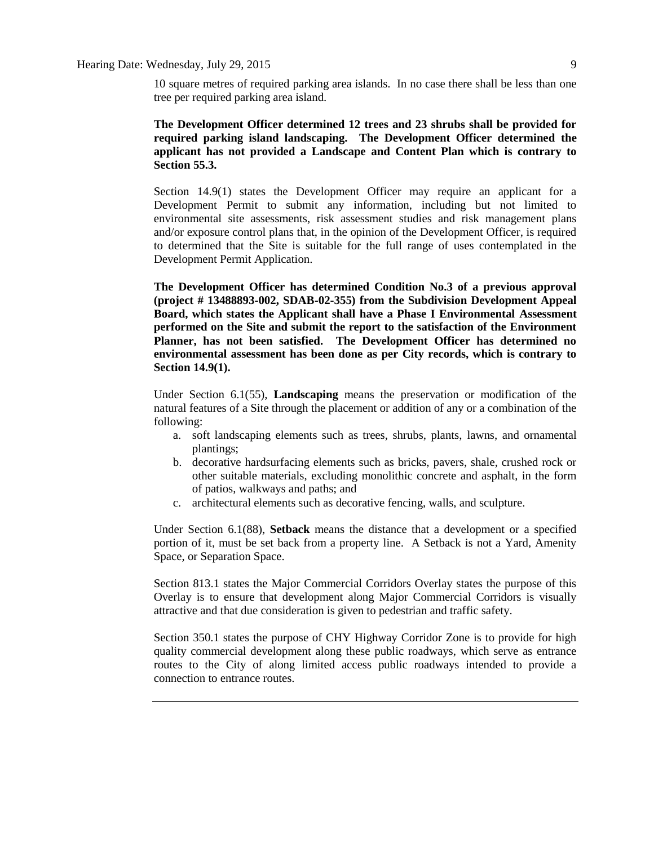# Hearing Date: Wednesday, July 29, 2015 9

10 square metres of required parking area islands. In no case there shall be less than one tree per required parking area island.

**The Development Officer determined 12 trees and 23 shrubs shall be provided for required parking island landscaping. The Development Officer determined the applicant has not provided a Landscape and Content Plan which is contrary to Section 55.3.**

Section 14.9(1) states the Development Officer may require an applicant for a Development Permit to submit any information, including but not limited to environmental site assessments, risk assessment studies and risk management plans and/or exposure control plans that, in the opinion of the Development Officer, is required to determined that the Site is suitable for the full range of uses contemplated in the Development Permit Application.

**The Development Officer has determined Condition No.3 of a previous approval (project # 13488893-002, SDAB-02-355) from the Subdivision Development Appeal Board, which states the Applicant shall have a Phase I Environmental Assessment performed on the Site and submit the report to the satisfaction of the Environment Planner, has not been satisfied. The Development Officer has determined no environmental assessment has been done as per City records, which is contrary to Section 14.9(1).** 

Under Section 6.1(55), **Landscaping** means the preservation or modification of the natural features of a Site through the placement or addition of any or a combination of the following:

- a. soft landscaping elements such as trees, shrubs, plants, lawns, and ornamental plantings;
- b. decorative hardsurfacing elements such as bricks, pavers, shale, crushed rock or other suitable materials, excluding monolithic concrete and asphalt, in the form of patios, walkways and paths; and
- c. architectural elements such as decorative fencing, walls, and sculpture.

Under Section 6.1(88), **Setback** means the distance that a development or a specified portion of it, must be set back from a property line. A Setback is not a Yard, Amenity Space, or Separation Space.

Section 813.1 states the Major Commercial Corridors Overlay states the purpose of this Overlay is to ensure that development along Major Commercial Corridors is visually attractive and that due consideration is given to pedestrian and traffic safety.

Section 350.1 states the purpose of CHY Highway Corridor Zone is to provide for high quality commercial development along these public roadways, which serve as entrance routes to the City of along limited access public roadways intended to provide a connection to entrance routes.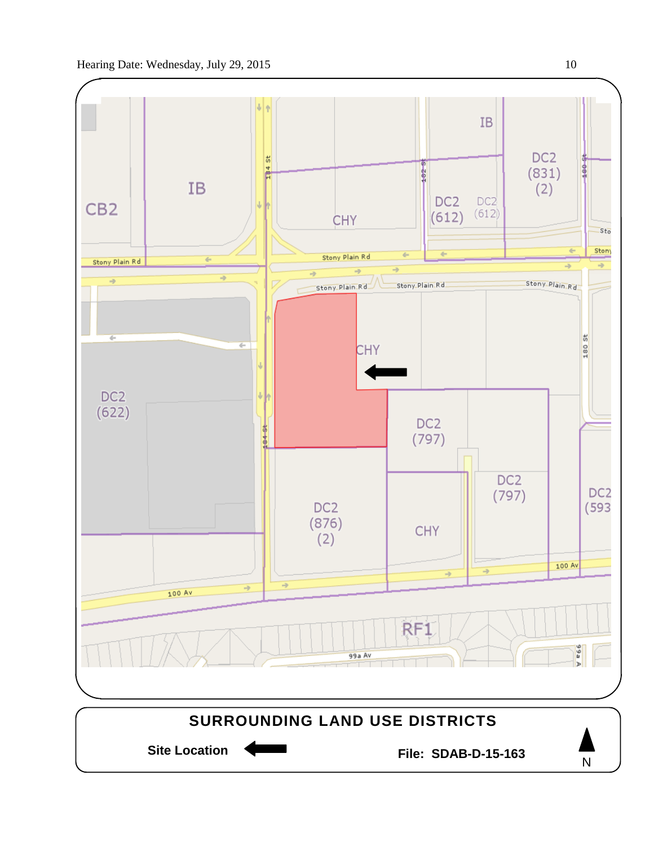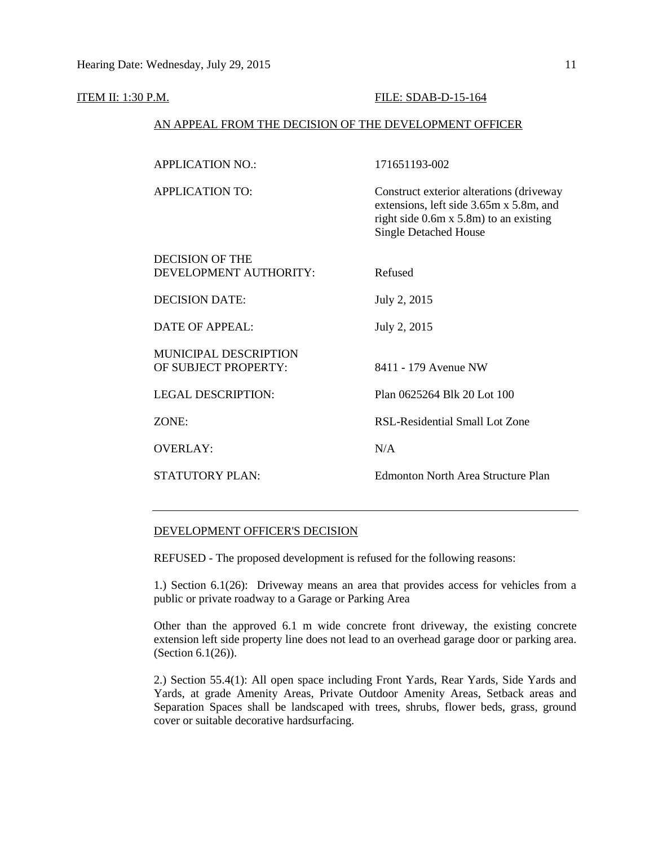#### ITEM II: 1:30 P.M. FILE: SDAB-D-15-164

## AN APPEAL FROM THE DECISION OF THE DEVELOPMENT OFFICER

| <b>APPLICATION NO.:</b>   | 171651193-002                                                                                                                                                       |
|---------------------------|---------------------------------------------------------------------------------------------------------------------------------------------------------------------|
| <b>APPLICATION TO:</b>    | Construct exterior alterations (driveway<br>extensions, left side 3.65m x 5.8m, and<br>right side $0.6m \times 5.8m$ to an existing<br><b>Single Detached House</b> |
| DECISION OF THE           |                                                                                                                                                                     |
| DEVELOPMENT AUTHORITY:    | Refused                                                                                                                                                             |
| DECISION DATE:            | July 2, 2015                                                                                                                                                        |
| DATE OF APPEAL:           | July 2, 2015                                                                                                                                                        |
| MUNICIPAL DESCRIPTION     |                                                                                                                                                                     |
| OF SUBJECT PROPERTY:      | 8411 - 179 Avenue NW                                                                                                                                                |
| <b>LEGAL DESCRIPTION:</b> | Plan 0625264 Blk 20 Lot 100                                                                                                                                         |
| ZONE:                     | RSL-Residential Small Lot Zone                                                                                                                                      |
| <b>OVERLAY:</b>           | N/A                                                                                                                                                                 |
| STATUTORY PLAN:           | Edmonton North Area Structure Plan                                                                                                                                  |

## DEVELOPMENT OFFICER'S DECISION

REFUSED - The proposed development is refused for the following reasons:

1.) Section 6.1(26): Driveway means an area that provides access for vehicles from a public or private roadway to a Garage or Parking Area

Other than the approved 6.1 m wide concrete front driveway, the existing concrete extension left side property line does not lead to an overhead garage door or parking area. (Section 6.1(26)).

2.) Section 55.4(1): All open space including Front Yards, Rear Yards, Side Yards and Yards, at grade Amenity Areas, Private Outdoor Amenity Areas, Setback areas and Separation Spaces shall be landscaped with trees, shrubs, flower beds, grass, ground cover or suitable decorative hardsurfacing.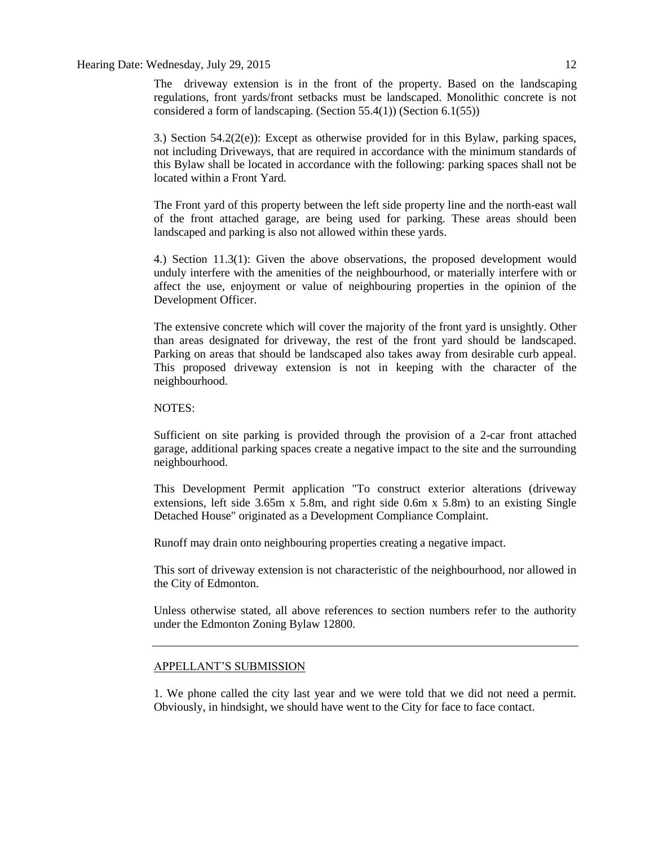Hearing Date: Wednesday, July 29, 2015 12

The driveway extension is in the front of the property. Based on the landscaping regulations, front yards/front setbacks must be landscaped. Monolithic concrete is not considered a form of landscaping. (Section 55.4(1)) (Section 6.1(55))

3.) Section 54.2(2(e)): Except as otherwise provided for in this Bylaw, parking spaces, not including Driveways, that are required in accordance with the minimum standards of this Bylaw shall be located in accordance with the following: parking spaces shall not be located within a Front Yard.

The Front yard of this property between the left side property line and the north-east wall of the front attached garage, are being used for parking. These areas should been landscaped and parking is also not allowed within these yards.

4.) Section 11.3(1): Given the above observations, the proposed development would unduly interfere with the amenities of the neighbourhood, or materially interfere with or affect the use, enjoyment or value of neighbouring properties in the opinion of the Development Officer.

The extensive concrete which will cover the majority of the front yard is unsightly. Other than areas designated for driveway, the rest of the front yard should be landscaped. Parking on areas that should be landscaped also takes away from desirable curb appeal. This proposed driveway extension is not in keeping with the character of the neighbourhood.

## NOTES:

Sufficient on site parking is provided through the provision of a 2-car front attached garage, additional parking spaces create a negative impact to the site and the surrounding neighbourhood.

This Development Permit application "To construct exterior alterations (driveway extensions, left side  $3.65m \times 5.8m$ , and right side 0.6m  $\times 5.8m$ ) to an existing Single Detached House" originated as a Development Compliance Complaint.

Runoff may drain onto neighbouring properties creating a negative impact.

This sort of driveway extension is not characteristic of the neighbourhood, nor allowed in the City of Edmonton.

Unless otherwise stated, all above references to section numbers refer to the authority under the Edmonton Zoning Bylaw 12800.

# APPELLANT'S SUBMISSION

1. We phone called the city last year and we were told that we did not need a permit. Obviously, in hindsight, we should have went to the City for face to face contact.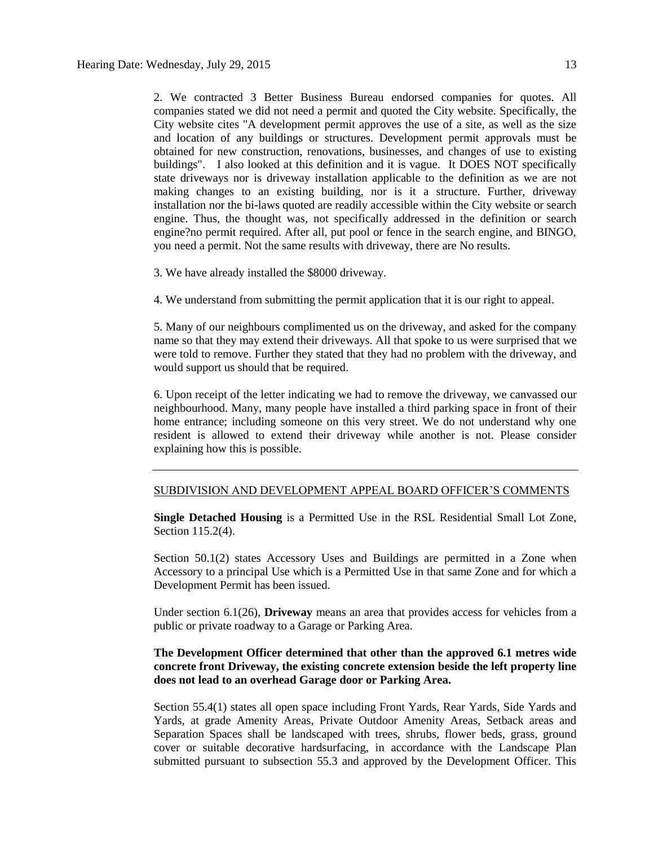2. We contracted 3 Better Business Bureau endorsed companies for quotes. All companies stated we did not need a permit and quoted the City website. Specifically, the City website cites "A development permit approves the use of a site, as well as the size and location of any buildings or structures. Development permit approvals must be obtained for new construction, renovations, businesses, and changes of use to existing buildings". I also looked at this definition and it is vague. It DOES NOT specifically state driveways nor is driveway installation applicable to the definition as we are not making changes to an existing building, nor is it a structure. Further, driveway installation nor the bi-laws quoted are readily accessible within the City website or search engine. Thus, the thought was, not specifically addressed in the definition or search engine?no permit required. After all, put pool or fence in the search engine, and BINGO, you need a permit. Not the same results with driveway, there are No results.

- 3. We have already installed the \$8000 driveway.
- 4. We understand from submitting the permit application that it is our right to appeal.

5. Many of our neighbours complimented us on the driveway, and asked for the company name so that they may extend their driveways. All that spoke to us were surprised that we were told to remove. Further they stated that they had no problem with the driveway, and would support us should that be required.

6. Upon receipt of the letter indicating we had to remove the driveway, we canvassed our neighbourhood. Many, many people have installed a third parking space in front of their home entrance; including someone on this very street. We do not understand why one resident is allowed to extend their driveway while another is not. Please consider explaining how this is possible.

## SUBDIVISION AND DEVELOPMENT APPEAL BOARD OFFICER'S COMMENTS

**Single Detached Housing** is a Permitted Use in the RSL Residential Small Lot Zone, Section 115.2(4).

Section 50.1(2) states Accessory Uses and Buildings are permitted in a Zone when Accessory to a principal Use which is a Permitted Use in that same Zone and for which a Development Permit has been issued.

Under section 6.1(26), **Driveway** means an area that provides access for vehicles from a public or private roadway to a Garage or Parking Area.

# **The Development Officer determined that other than the approved 6.1 metres wide concrete front Driveway, the existing concrete extension beside the left property line does not lead to an overhead Garage door or Parking Area.**

Section 55.4(1) states all open space including Front Yards, Rear Yards, Side Yards and Yards, at grade Amenity Areas, Private Outdoor Amenity Areas, Setback areas and Separation Spaces shall be landscaped with trees, shrubs, flower beds, grass, ground cover or suitable decorative hardsurfacing, in accordance with the Landscape Plan submitted pursuant to subsection 55.3 and approved by the Development Officer. This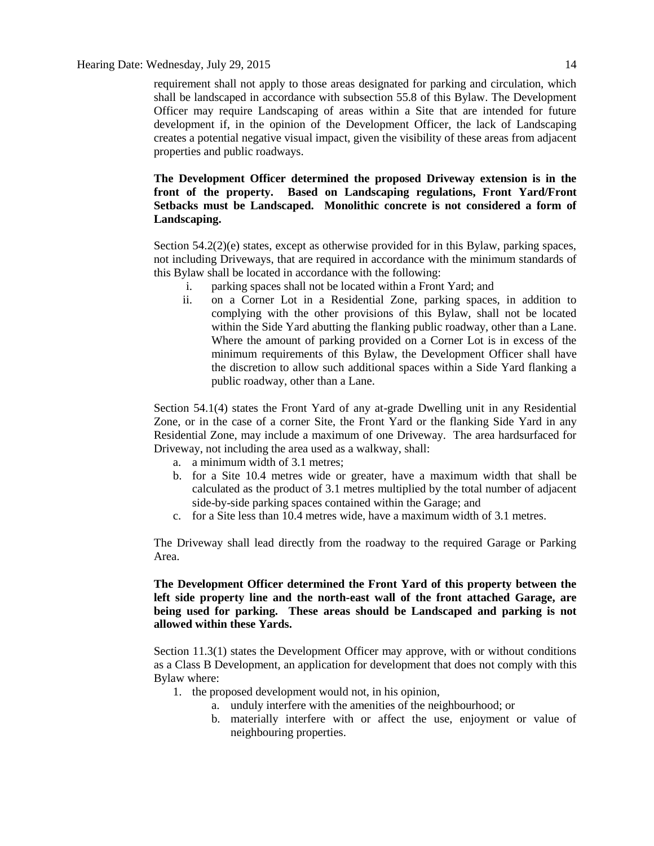requirement shall not apply to those areas designated for parking and circulation, which shall be landscaped in accordance with subsection 55.8 of this Bylaw. The Development Officer may require Landscaping of areas within a Site that are intended for future development if, in the opinion of the Development Officer, the lack of Landscaping creates a potential negative visual impact, given the visibility of these areas from adjacent properties and public roadways.

# **The Development Officer determined the proposed Driveway extension is in the front of the property. Based on Landscaping regulations, Front Yard/Front Setbacks must be Landscaped. Monolithic concrete is not considered a form of Landscaping.**

Section 54.2(2)(e) states, except as otherwise provided for in this Bylaw, parking spaces, not including Driveways, that are required in accordance with the minimum standards of this Bylaw shall be located in accordance with the following:

- i. parking spaces shall not be located within a Front Yard; and
- ii. on a Corner Lot in a Residential Zone, parking spaces, in addition to complying with the other provisions of this Bylaw, shall not be located within the Side Yard abutting the flanking public roadway, other than a Lane. Where the amount of parking provided on a Corner Lot is in excess of the minimum requirements of this Bylaw, the Development Officer shall have the discretion to allow such additional spaces within a Side Yard flanking a public roadway, other than a Lane.

Section 54.1(4) states the Front Yard of any at-grade Dwelling unit in any Residential Zone, or in the case of a corner Site, the Front Yard or the flanking Side Yard in any Residential Zone, may include a maximum of one Driveway. The area hardsurfaced for Driveway, not including the area used as a walkway, shall:

- a. a minimum width of 3.1 metres;
- b. for a Site 10.4 metres wide or greater, have a maximum width that shall be calculated as the product of 3.1 metres multiplied by the total number of adjacent side-by-side parking spaces contained within the Garage; and
- c. for a Site less than 10.4 metres wide, have a maximum width of 3.1 metres.

The Driveway shall lead directly from the roadway to the required Garage or Parking Area.

# **The Development Officer determined the Front Yard of this property between the left side property line and the north-east wall of the front attached Garage, are being used for parking. These areas should be Landscaped and parking is not allowed within these Yards.**

Section 11.3(1) states the Development Officer may approve, with or without conditions as a Class B Development, an application for development that does not comply with this Bylaw where:

- 1. the proposed development would not, in his opinion,
	- a. unduly interfere with the amenities of the neighbourhood; or
	- b. materially interfere with or affect the use, enjoyment or value of neighbouring properties.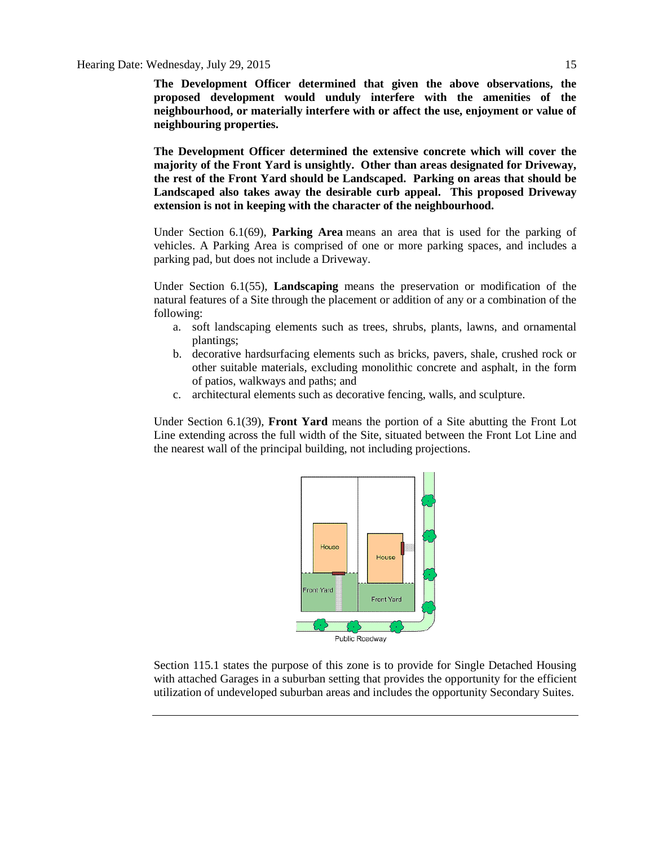**The Development Officer determined that given the above observations, the proposed development would unduly interfere with the amenities of the neighbourhood, or materially interfere with or affect the use, enjoyment or value of neighbouring properties.**

**The Development Officer determined the extensive concrete which will cover the majority of the Front Yard is unsightly. Other than areas designated for Driveway, the rest of the Front Yard should be Landscaped. Parking on areas that should be Landscaped also takes away the desirable curb appeal. This proposed Driveway extension is not in keeping with the character of the neighbourhood.**

Under Section 6.1(69), **Parking Area** means an area that is used for the parking of vehicles. A Parking Area is comprised of one or more parking spaces, and includes a parking pad, but does not include a Driveway.

Under Section 6.1(55), **Landscaping** means the preservation or modification of the natural features of a Site through the placement or addition of any or a combination of the following:

- a. soft landscaping elements such as trees, shrubs, plants, lawns, and ornamental plantings;
- b. decorative hardsurfacing elements such as bricks, pavers, shale, crushed rock or other suitable materials, excluding monolithic concrete and asphalt, in the form of patios, walkways and paths; and
- c. architectural elements such as decorative fencing, walls, and sculpture.

Under Section 6.1(39), **Front Yard** means the portion of a Site abutting the Front Lot Line extending across the full width of the Site, situated between the Front Lot Line and the nearest wall of the principal building, not including projections.



Section 115.1 states the purpose of this zone is to provide for Single Detached Housing with attached Garages in a suburban setting that provides the opportunity for the efficient utilization of undeveloped suburban areas and includes the opportunity Secondary Suites.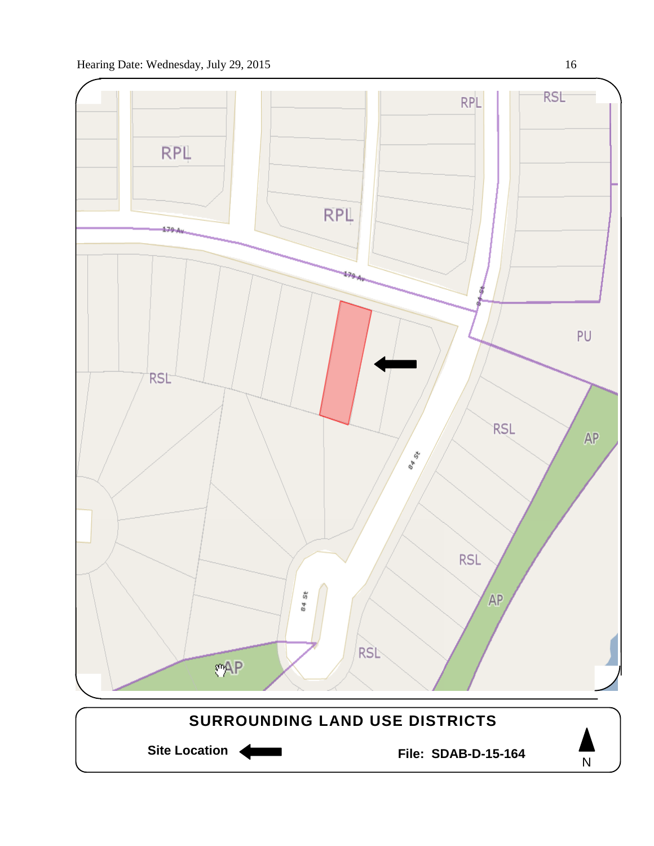